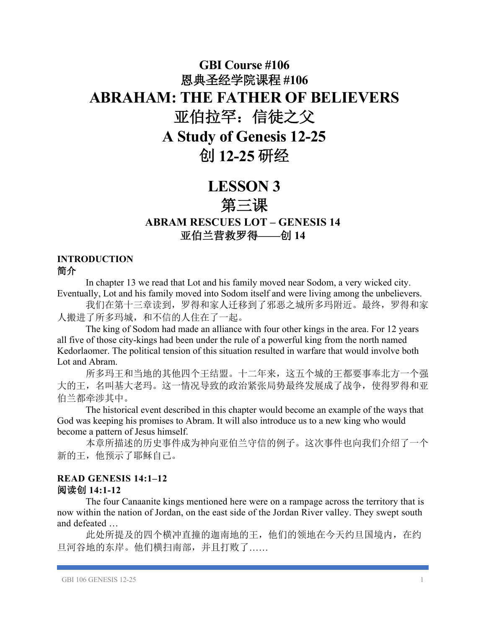# **GBI Course #106** 恩典圣经学院课程 **#106 ABRAHAM: THE FATHER OF BELIEVERS** 亚伯拉罕:信徒之父 **A Study of Genesis 12-25** 创 **12-25** 研经

## **LESSON 3**

### 第三课

**ABRAM RESCUES LOT – GENESIS 14** 亚伯兰营救罗得**——**创 **14**

#### **INTRODUCTION** 简介

In chapter 13 we read that Lot and his family moved near Sodom, a very wicked city. Eventually, Lot and his family moved into Sodom itself and were living among the unbelievers.

我们在第十三章读到,罗得和家人迁移到了邪恶之城所多玛附近。最终,罗得和家 人搬进了所多玛城,和不信的人住在了一起。

The king of Sodom had made an alliance with four other kings in the area. For 12 years all five of those city-kings had been under the rule of a powerful king from the north named Kedorlaomer. The political tension of this situation resulted in warfare that would involve both Lot and Abram.

所多玛王和当地的其他四个王结盟。十二年来,这五个城的王都要事奉北方一个强 大的王,名叫基大老玛。这一情况导致的政治紧张局势最终发展成了战争,使得罗得和亚 伯兰都牵涉其中。

The historical event described in this chapter would become an example of the ways that God was keeping his promises to Abram. It will also introduce us to a new king who would become a pattern of Jesus himself.

本章所描述的历史事件成为神向亚伯兰守信的例子。这次事件也向我们介绍了一个 新的王,他预示了耶稣自己。

#### **READ GENESIS 14:1–12** 阅读创 **14:1-12**

The four Canaanite kings mentioned here were on a rampage across the territory that is now within the nation of Jordan, on the east side of the Jordan River valley. They swept south and defeated …

此处所提及的四个横冲直撞的迦南地的王,他们的领地在今天约旦国境内,在约 旦河谷地的东岸。他们横扫南部,并且打败了……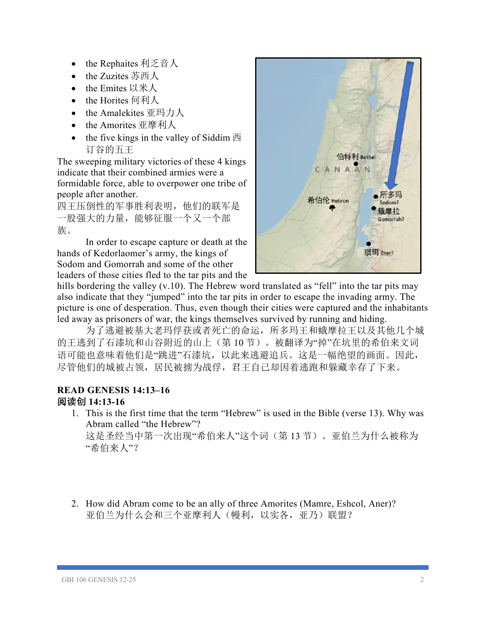- the Rephaites 利乏音人
- the Zuzites 苏西人
- the Emites 以米人
- the Horites 何利人
- the Amalekites 亚玛力人
- the Amorites 亚摩利人
- the five kings in the valley of Siddim  $\overline{m}$ 订谷的五王

The sweeping military victories of these 4 kings indicate that their combined armies were a formidable force, able to overpower one tribe of people after another.

四王压倒性的军事胜利表明,他们的联军是 一股强大的力量,能够征服一个又一个部 族。

In order to escape capture or death at the hands of Kedorlaomer's army, the kings of Sodom and Gomorrah and some of the other leaders of those cities fled to the tar pits and the



hills bordering the valley (v.10). The Hebrew word translated as "fell" into the tar pits may also indicate that they "jumped" into the tar pits in order to escape the invading army. The picture is one of desperation. Thus, even though their cities were captured and the inhabitants led away as prisoners of war, the kings themselves survived by running and hiding.

为了逃避被基大老玛俘获或者死亡的命运,所多玛王和蛾摩拉王以及其他几个城 的王逃到了石漆坑和山谷附近的山上(第 10 节)。被翻译为"掉"在坑里的希伯来文词 语可能也意味着他们是"跳进"石漆坑,以此来逃避追兵。这是一幅绝望的画面。因此, 尽管他们的城被占领,居民被掳为战俘,君王自己却因着逃跑和躲藏幸存了下来。

#### **READ GENESIS 14:13–16** 阅读创 **14:13-16**

1. This is the first time that the term "Hebrew" is used in the Bible (verse 13). Why was Abram called "the Hebrew"?

这是圣经当中第一次出现"希伯来人"这个词(第 13 节)。亚伯兰为什么被称为 "希伯来人"?

2. How did Abram come to be an ally of three Amorites (Mamre, Eshcol, Aner)? 亚伯兰为什么会和三个亚摩利人(幔利,以实各,亚乃)联盟?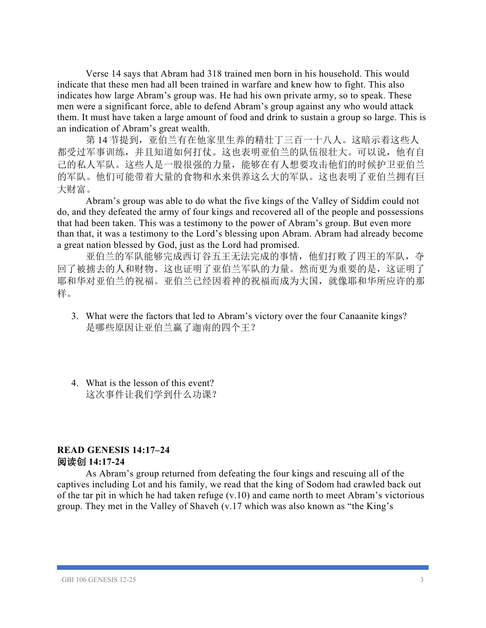Verse 14 says that Abram had 318 trained men born in his household. This would indicate that these men had all been trained in warfare and knew how to fight. This also indicates how large Abram's group was. He had his own private army, so to speak. These men were a significant force, able to defend Abram's group against any who would attack them. It must have taken a large amount of food and drink to sustain a group so large. This is an indication of Abram's great wealth.

第 14 节提到,亚伯兰有在他家里生养的精壮丁三百一十八人。这暗示着这些人 都受过军事训练,并且知道如何打仗。这也表明亚伯兰的队伍很壮大。可以说,他有自 己的私人军队。这些人是一股很强的力量,能够在有人想要攻击他们的时候护卫亚伯兰 的军队。他们可能带着大量的食物和水来供养这么大的军队。这也表明了亚伯兰拥有巨 大财富。

Abram's group was able to do what the five kings of the Valley of Siddim could not do, and they defeated the army of four kings and recovered all of the people and possessions that had been taken. This was a testimony to the power of Abram's group. But even more than that, it was a testimony to the Lord's blessing upon Abram. Abram had already become a great nation blessed by God, just as the Lord had promised.

亚伯兰的军队能够完成西订谷五王无法完成的事情,他们打败了四王的军队,夺 回了被掳去的人和财物。这也证明了亚伯兰军队的力量。然而更为重要的是,这证明了 耶和华对亚伯兰的祝福。亚伯兰已经因着神的祝福而成为大国,就像耶和华所应许的那 样。

- 3. What were the factors that led to Abram's victory over the four Canaanite kings? 是哪些原因让亚伯兰赢了迦南的四个王?
- 4. What is the lesson of this event? 这次事件让我们学到什么功课?

#### **READ GENESIS 14:17–24** 阅读创 **14:17-24**

As Abram's group returned from defeating the four kings and rescuing all of the captives including Lot and his family, we read that the king of Sodom had crawled back out of the tar pit in which he had taken refuge (v.10) and came north to meet Abram's victorious group. They met in the Valley of Shaveh (v.17 which was also known as "the King's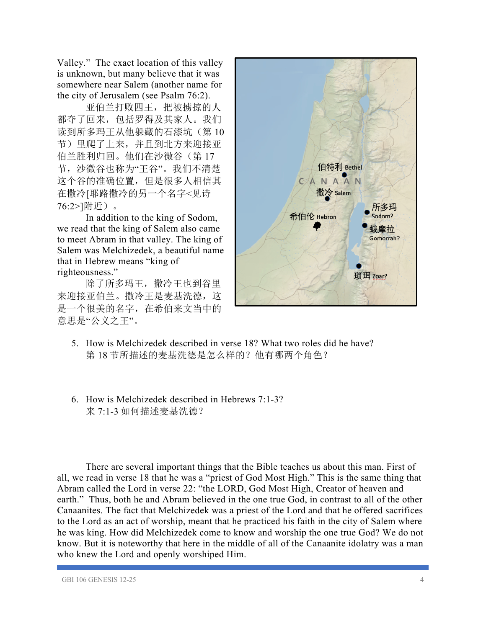Valley." The exact location of this valley is unknown, but many believe that it was somewhere near Salem (another name for the city of Jerusalem (see Psalm 76:2).

亚伯兰打败四王,把被掳掠的人 都夺了回来,包括罗得及其家人。我们 读到所多玛王从他躲藏的石漆坑(第10 节)里爬了上来,并且到北方来迎接亚 伯兰胜利归回。他们在沙微谷(第 17 节,沙微谷也称为"王谷"。我们不清楚 这个谷的准确位置,但是很多人相信其 在撒冷[耶路撒冷的另一个名字<见诗 76:2>]附近)。

In addition to the king of Sodom, we read that the king of Salem also came to meet Abram in that valley. The king of Salem was Melchizedek, a beautiful name that in Hebrew means "king of righteousness."

除了所多玛王,撒冷王也到谷里 来迎接亚伯兰。撒冷王是麦基洗德,这 是一个很美的名字,在希伯来文当中的 意思是"公义之王"。



- 5. How is Melchizedek described in verse 18? What two roles did he have? 第 18 节所描述的麦基洗德是怎么样的?他有哪两个角色?
- 6. How is Melchizedek described in Hebrews 7:1-3? 来 7:1-3 如何描述麦基洗德?

There are several important things that the Bible teaches us about this man. First of all, we read in verse 18 that he was a "priest of God Most High." This is the same thing that Abram called the Lord in verse 22: "the LORD, God Most High, Creator of heaven and earth." Thus, both he and Abram believed in the one true God, in contrast to all of the other Canaanites. The fact that Melchizedek was a priest of the Lord and that he offered sacrifices to the Lord as an act of worship, meant that he practiced his faith in the city of Salem where he was king. How did Melchizedek come to know and worship the one true God? We do not know. But it is noteworthy that here in the middle of all of the Canaanite idolatry was a man who knew the Lord and openly worshiped Him.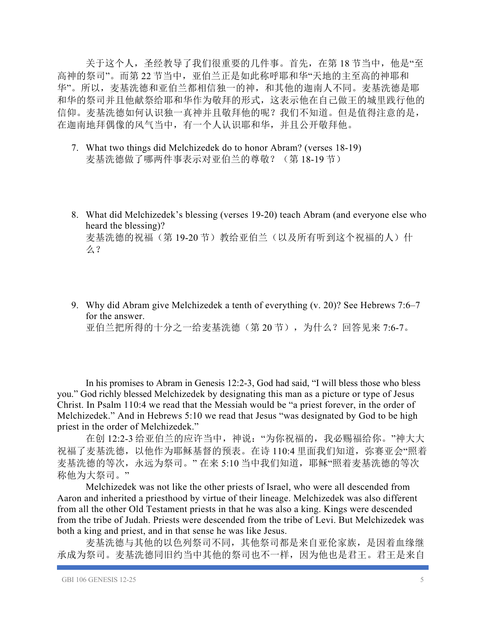关于这个人,圣经教导了我们很重要的几件事。首先, 在第 18 节当中, 他是"至 高神的祭司"。而第 22 节当中,亚伯兰正是如此称呼耶和华"天地的主至高的神耶和 华"。所以,麦基洗德和亚伯兰都相信独一的神,和其他的迦南人不同。麦基洗德是耶 和华的祭司并且他献祭给耶和华作为敬拜的形式,这表示他在自己做王的城里践行他的 信仰。麦基洗德如何认识独一真神并且敬拜他的呢?我们不知道。但是值得注意的是, 在迦南地拜偶像的风气当中,有一个人认识耶和华,并且公开敬拜他。

- 7. What two things did Melchizedek do to honor Abram? (verses 18-19) 麦基洗德做了哪两件事表示对亚伯兰的尊敬? (第 18-19 节)
- 8. What did Melchizedek's blessing (verses 19-20) teach Abram (and everyone else who heard the blessing)? 麦基洗德的祝福(第 19-20 节)教给亚伯兰(以及所有听到这个祝福的人)什 么?
- 9. Why did Abram give Melchizedek a tenth of everything (v. 20)? See Hebrews 7:6–7 for the answer. 亚伯兰把所得的十分之一给麦基洗德(第 20 节),为什么?回答见来 7:6-7。

In his promises to Abram in Genesis 12:2-3, God had said, "I will bless those who bless you." God richly blessed Melchizedek by designating this man as a picture or type of Jesus Christ. In Psalm 110:4 we read that the Messiah would be "a priest forever, in the order of Melchizedek." And in Hebrews 5:10 we read that Jesus "was designated by God to be high priest in the order of Melchizedek."

在创 12:2-3 给亚伯兰的应许当中,神说:"为你祝福的,我必赐福给你。"神大大 祝福了麦基洗德,以他作为耶稣基督的预表。在诗 110:4 里面我们知道, 弥赛亚会"照着 麦基洗德的等次,永远为祭司。"在来 5:10 当中我们知道,耶稣"照着麦基洗德的等次 称他为大祭司。"

Melchizedek was not like the other priests of Israel, who were all descended from Aaron and inherited a priesthood by virtue of their lineage. Melchizedek was also different from all the other Old Testament priests in that he was also a king. Kings were descended from the tribe of Judah. Priests were descended from the tribe of Levi. But Melchizedek was both a king and priest, and in that sense he was like Jesus.

麦基洗德与其他的以色列祭司不同,其他祭司都是来自亚伦家族,是因着血缘继 承成为祭司。麦基洗德同旧约当中其他的祭司也不一样,因为他也是君王。君王是来自